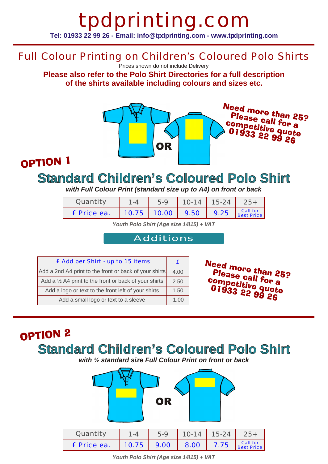# tpdprinting.com **Tel: 01933 22 99 26 - Email: info@tpdprinting.com - www.tpdprinting.com**

### Full Colour Printing on Children's Coloured Polo Shirts

Prices shown do not include Delivery

**Please also refer to the Polo Shirt Directories for a full description of the shirts available including colours and sizes etc.**



### OPTION 1

## **Standard Children's Coloured Polo Shirt**

*with Full Colour Print (standard size up to A4) on front or back*

| Quantity    | $5-9$              | $10-14$   15-24 |                               |
|-------------|--------------------|-----------------|-------------------------------|
| £ Price ea. | $10.75$ 10.00 9.50 | 1.9.25          | <b>Call for</b><br>Best Price |

*Youth Polo Shirt (Age size 14\15) + VAT*

#### Additions

| £ Add per Shirt - up to 15 items                                 |  |  |
|------------------------------------------------------------------|--|--|
| Add a 2nd A4 print to the front or back of your shirts           |  |  |
| Add a $\frac{1}{2}$ A4 print to the front or back of your shirts |  |  |
| Add a logo or text to the front left of your shirts              |  |  |
| Add a small logo or text to a sleeve                             |  |  |

Need more than 25? Please call for a competitive quote<br>Competitive quote<br>01933 22 99 90 Ollpetitive quot<br>01933 22 99 26

# OPTION<sub>2</sub> **Standard Children's Coloured Polo Shirt**

*with ½ standard size Full Colour Print on front or back*



*Youth Polo Shirt (Age size 14\15) + VAT*